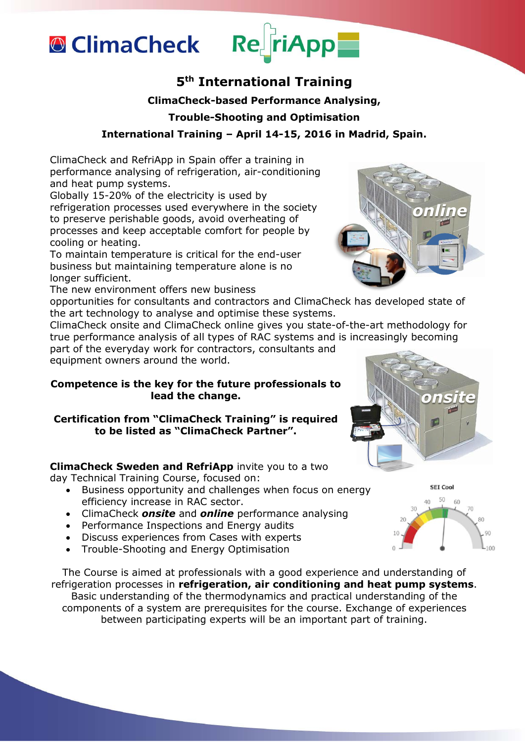

# **5 th International Training**

ReFriApp

## **ClimaCheck-based Performance Analysing,**

## **Trouble-Shooting and Optimisation**

# **International Training – April 14-15, 2016 in Madrid, Spain.**

ClimaCheck and RefriApp in Spain offer a training in performance analysing of refrigeration, air-conditioning and heat pump systems.

Globally 15-20% of the electricity is used by refrigeration processes used everywhere in the society to preserve perishable goods, avoid overheating of processes and keep acceptable comfort for people by cooling or heating.

To maintain temperature is critical for the end-user business but maintaining temperature alone is no longer sufficient.

The new environment offers new business

opportunities for consultants and contractors and ClimaCheck has developed state of the art technology to analyse and optimise these systems.

ClimaCheck onsite and ClimaCheck online gives you state-of-the-art methodology for true performance analysis of all types of RAC systems and is increasingly becoming part of the everyday work for contractors, consultants and

equipment owners around the world.

### **Competence is the key for the future professionals to lead the change.**

**Certification from "ClimaCheck Training" is required to be listed as "ClimaCheck Partner".** 

**ClimaCheck Sweden and RefriApp** invite you to a two

day Technical Training Course, focused on:

- Business opportunity and challenges when focus on energy efficiency increase in RAC sector.
- ClimaCheck *onsite* and *online* performance analysing
- Performance Inspections and Energy audits
- Discuss experiences from Cases with experts
- Trouble-Shooting and Energy Optimisation

The Course is aimed at professionals with a good experience and understanding of refrigeration processes in **refrigeration, air conditioning and heat pump systems**. Basic understanding of the thermodynamics and practical understanding of the components of a system are prerequisites for the course. Exchange of experiences between participating experts will be an important part of training.





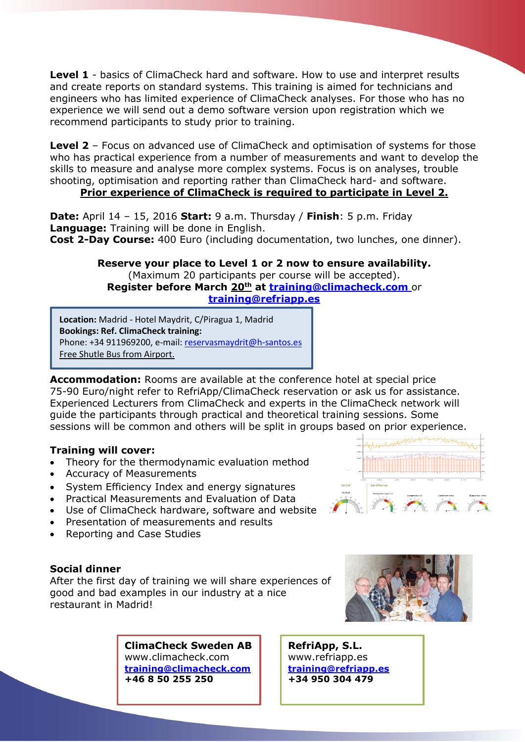Level 1 - basics of ClimaCheck hard and software. How to use and interpret results and create reports on standard systems. This training is aimed for technicians and engineers who has limited experience of ClimaCheck analyses. For those who has no experience we will send out a demo software version upon registration which we recommend participants to study prior to training.

**Level 2** – Focus on advanced use of ClimaCheck and optimisation of systems for those who has practical experience from a number of measurements and want to develop the skills to measure and analyse more complex systems. Focus is on analyses, trouble shooting, optimisation and reporting rather than ClimaCheck hard- and software.

## **Prior experience of ClimaCheck is required to participate in Level 2.**

**Date:** April 14 – 15, 2016 **Start:** 9 a.m. Thursday / **Finish**: 5 p.m. Friday **Language:** Training will be done in English. **Cost 2-Day Course:** 400 Euro (including documentation, two lunches, one dinner).

> **Reserve your place to Level 1 or 2 now to ensure availability.** (Maximum 20 participants per course will be accepted). **Register before March 20th at [training@climacheck.com](mailto:training@climacheck.com)** or **[training@refriapp.es](mailto:training@refriapp.es)**

**Location:** Madrid - Hotel Maydrit, C/Piragua 1, Madrid **Bookings: Ref. ClimaCheck training:** Phone: +34 911969200, e-mail: [reservasmaydrit@h-santos.es](mailto:reservasmaydrit@h-santos.es) Free Shutle Bus from Airport.

**Accommodation:** Rooms are available at the conference hotel at special price 75-90 Euro/night refer to RefriApp/ClimaCheck reservation or ask us for assistance. Experienced Lecturers from ClimaCheck and experts in the ClimaCheck network will guide the participants through practical and theoretical training sessions. Some sessions will be common and others will be split in groups based on prior experience.

## **Training will cover:**

- Theory for the thermodynamic evaluation method
- Accuracy of Measurements
- System Efficiency Index and energy signatures
- Practical Measurements and Evaluation of Data
- Use of ClimaCheck hardware, software and website
- Presentation of measurements and results
- Reporting and Case Studies

#### **Social dinner**

After the first day of training we will share experiences of good and bad examples in our industry at a nice restaurant in Madrid!

> **ClimaCheck Sweden AB** [www.climacheck.com](http://www.climacheck.com/)  **[training@climacheck.com](mailto:training@climacheck.com)  +46 8 50 255 250**



**RefriApp, S.L.** [www.refriapp.e](http://www.refriapp./)s **[training@refriapp.es](mailto:training@refriapp.es) +34 950 304 479**